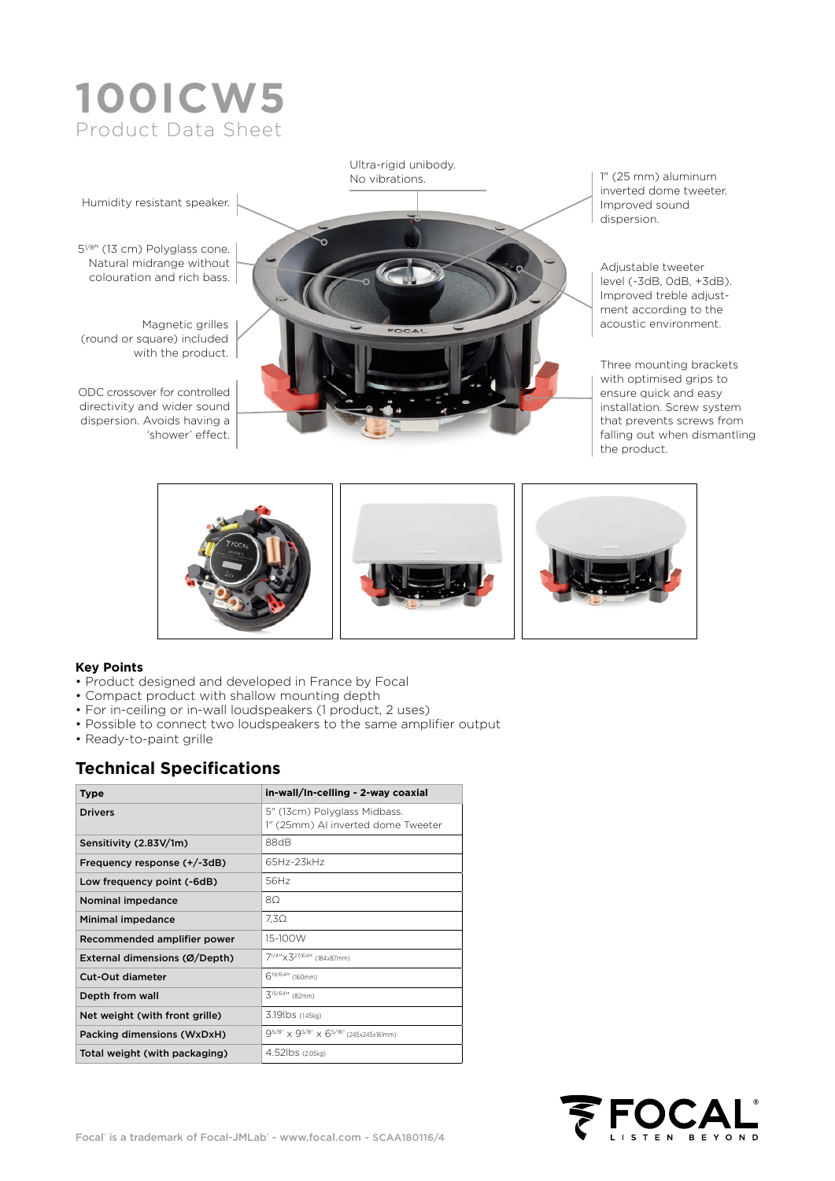# **100ICW5** Product Data Sheet



#### **Key Points**

- Product designed and developed in France by Focal
- Compact product with shallow mounting depth
- For in-ceiling or in-wall loudspeakers (1 product, 2 uses)
- Possible to connect two loudspeakers to the same amplifier output
- Ready-to-paint grille

#### **Technical Specifications**

| Type                           | in-wall/In-celling - 2-way coaxial                                 |  |  |  |  |
|--------------------------------|--------------------------------------------------------------------|--|--|--|--|
| <b>Drivers</b>                 | 5" (13cm) Polyglass Midbass.<br>1" (25mm) AI inverted dome Tweeter |  |  |  |  |
| Sensitivity (2.83V/1m)         | 88dB                                                               |  |  |  |  |
| Frequency response (+/-3dB)    | 65Hz-23kHz                                                         |  |  |  |  |
| Low frequency point (-6dB)     | 56Hz                                                               |  |  |  |  |
| Nominal impedance              | 80                                                                 |  |  |  |  |
| Minimal impedance              | $7.3\Omega$                                                        |  |  |  |  |
| Recommended amplifier power    | 15-100W                                                            |  |  |  |  |
| External dimensions (Ø/Depth)  | 71/4"×327/64" (184x87mm)                                           |  |  |  |  |
| Cut-Out diameter               | 6 <sup>19/64</sup> " (160mm)                                       |  |  |  |  |
| Depth from wall                | $3^{15/64}$ (82mm)                                                 |  |  |  |  |
| Net weight (with front grille) | 3.19lbs (1.45kg)                                                   |  |  |  |  |
| Packing dimensions (WxDxH)     | 95/8" x 95/8" x 65/16" (245x245x161mm)                             |  |  |  |  |
| Total weight (with packaging)  | 4.52lbs (2.05kg)                                                   |  |  |  |  |